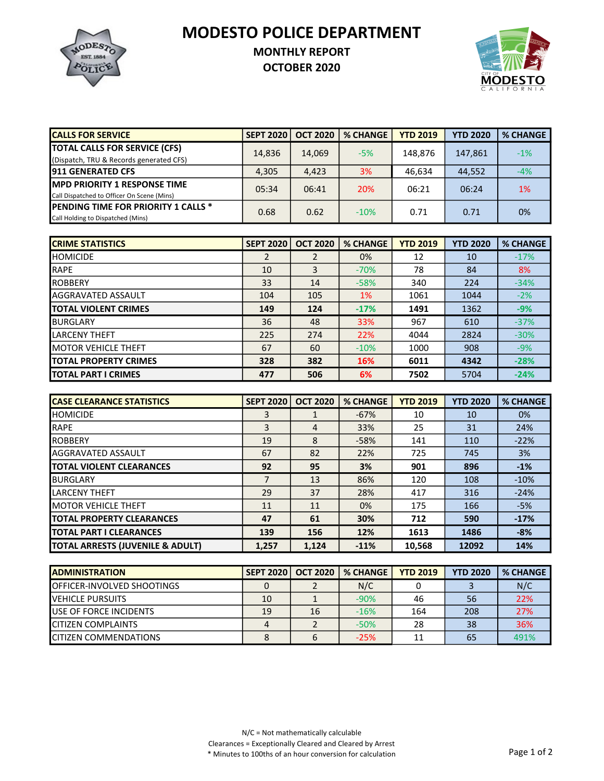MODESTO POLICE DEPARTMENT



## MONTHLY REPORT

OCTOBER 2020



| <b>CALLS FOR SERVICE</b>                    | <b>SEPT 2020</b> | <b>OCT 2020</b> | <b>% CHANGE</b> | <b>YTD 2019</b> | <b>YTD 2020</b> | <b>% CHANGE</b> |
|---------------------------------------------|------------------|-----------------|-----------------|-----------------|-----------------|-----------------|
| <b>TOTAL CALLS FOR SERVICE (CFS)</b>        | 14,836           | 14,069          | $-5%$           | 148.876         | 147,861         | $-1%$           |
| (Dispatch, TRU & Records generated CFS)     |                  |                 |                 |                 |                 |                 |
| <b>1911 GENERATED CFS</b>                   | 4.305            | 4,423           | 3%              | 46.634          | 44,552          | $-4%$           |
| <b>IMPD PRIORITY 1 RESPONSE TIME</b>        | 05:34            | 06:41           | 20%             | 06:21           | 06:24           | 1%              |
| Call Dispatched to Officer On Scene (Mins)  |                  |                 |                 |                 |                 |                 |
| <b>IPENDING TIME FOR PRIORITY 1 CALLS *</b> | 0.68             |                 | $-10%$          | 0.71            | 0.71            | 0%              |
| Call Holding to Dispatched (Mins)           |                  | 0.62            |                 |                 |                 |                 |

| <b>ICRIME STATISTICS</b>     | <b>SEPT 2020</b> | <b>OCT 2020</b> | <b>% CHANGE</b> | <b>YTD 2019</b> | <b>YTD 2020</b> | <b>% CHANGE</b> |
|------------------------------|------------------|-----------------|-----------------|-----------------|-----------------|-----------------|
| <b>HOMICIDE</b>              | 2                |                 | 0%              | 12              | 10              | $-17%$          |
| <b>RAPE</b>                  | 10               | 3               | $-70%$          | 78              | 84              | 8%              |
| <b>ROBBERY</b>               | 33               | 14              | $-58%$          | 340             | 224             | $-34%$          |
| <b>AGGRAVATED ASSAULT</b>    | 104              | 105             | 1%              | 1061            | 1044            | $-2%$           |
| <b>TOTAL VIOLENT CRIMES</b>  | 149              | 124             | $-17%$          | 1491            | 1362            | $-9%$           |
| <b>BURGLARY</b>              | 36               | 48              | 33%             | 967             | 610             | $-37%$          |
| <b>LARCENY THEFT</b>         | 225              | 274             | 22%             | 4044            | 2824            | $-30%$          |
| <b>MOTOR VEHICLE THEFT</b>   | 67               | 60              | $-10%$          | 1000            | 908             | $-9%$           |
| <b>TOTAL PROPERTY CRIMES</b> | 328              | 382             | 16%             | 6011            | 4342            | $-28%$          |
| <b>ITOTAL PART I CRIMES</b>  | 477              | 506             | 6%              | 7502            | 5704            | $-24%$          |

| <b>CASE CLEARANCE STATISTICS</b>            | <b>SEPT 2020</b> | <b>OCT 2020</b> | <b>% CHANGE</b> | <b>YTD 2019</b> | <b>YTD 2020</b> | <b>% CHANGE</b> |
|---------------------------------------------|------------------|-----------------|-----------------|-----------------|-----------------|-----------------|
| <b>HOMICIDE</b>                             | 3                |                 | $-67%$          | 10              | 10              | 0%              |
| <b>RAPE</b>                                 | 3                | 4               | 33%             | 25              | 31              | 24%             |
| <b>IROBBERY</b>                             | 19               | 8               | $-58%$          | 141             | 110             | $-22%$          |
| <b>AGGRAVATED ASSAULT</b>                   | 67               | 82              | 22%             | 725             | 745             | 3%              |
| <b>ITOTAL VIOLENT CLEARANCES</b>            | 92               | 95              | 3%              | 901             | 896             | $-1%$           |
| <b>BURGLARY</b>                             | 7                | 13              | 86%             | 120             | 108             | $-10%$          |
| <b>LARCENY THEFT</b>                        | 29               | 37              | 28%             | 417             | 316             | $-24%$          |
| <b>IMOTOR VEHICLE THEFT</b>                 | 11               | 11              | 0%              | 175             | 166             | $-5%$           |
| <b>ITOTAL PROPERTY CLEARANCES</b>           | 47               | 61              | 30%             | 712             | 590             | $-17%$          |
| <b>ITOTAL PART I CLEARANCES</b>             | 139              | 156             | 12%             | 1613            | 1486            | $-8%$           |
| <b>TOTAL ARRESTS (JUVENILE &amp; ADULT)</b> | 1.257            | 1.124           | $-11%$          | 10,568          | 12092           | 14%             |

| <b>IADMINISTRATION</b>             | <b>SEPT 2020</b> | <b>OCT 2020</b> | <b>% CHANGE</b> | <b>YTD 2019</b> | <b>YTD 2020</b> | <b>% CHANGE</b> |
|------------------------------------|------------------|-----------------|-----------------|-----------------|-----------------|-----------------|
| <b>IOFFICER-INVOLVED SHOOTINGS</b> |                  |                 | N/C             |                 |                 | N/C             |
| <b>IVEHICLE PURSUITS</b>           | 10               |                 | $-90%$          | 46              | 56              | 22%             |
| <b>IUSE OF FORCE INCIDENTS</b>     | 19               | 16              | $-16%$          | 164             | 208             | 27%             |
| <b>ICITIZEN COMPLAINTS</b>         |                  |                 | $-50%$          | 28              | 38              | 36%             |
| <b>ICITIZEN COMMENDATIONS</b>      |                  |                 | $-25%$          |                 | 65              | 491%            |